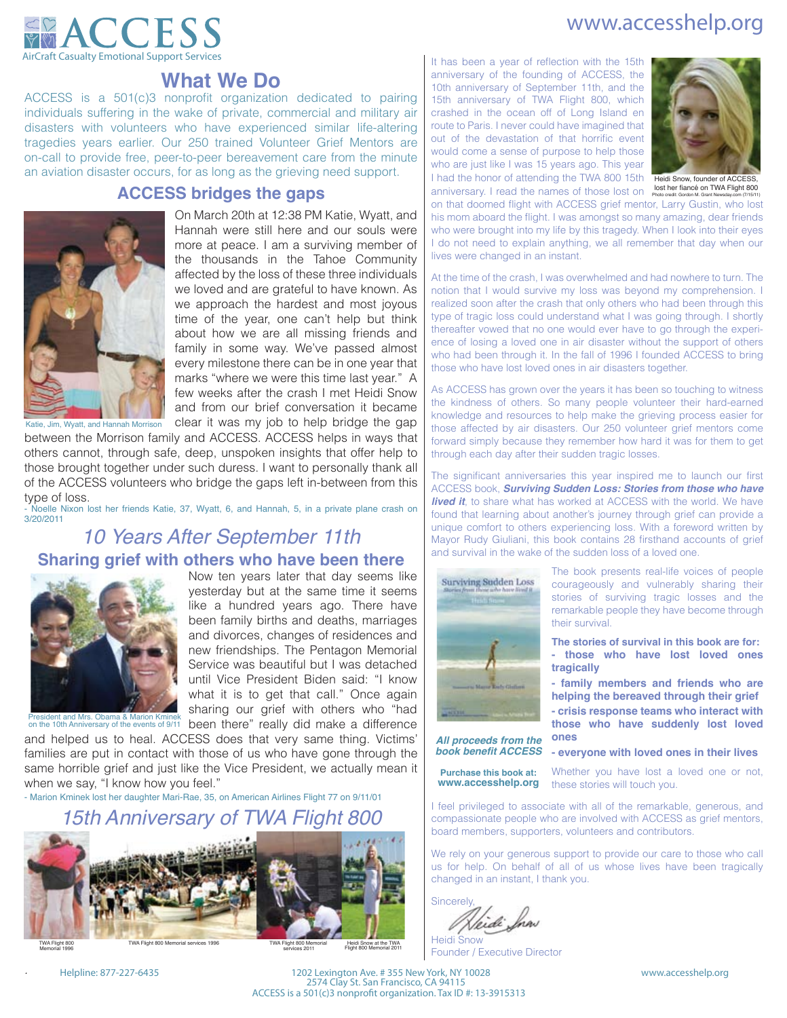## www.accesshelp.org



## **What We Do**

ACCESS is a 501(c)3 nonprofit organization dedicated to pairing individuals suffering in the wake of private, commercial and military air disasters with volunteers who have experienced similar life-altering tragedies years earlier. Our 250 trained Volunteer Grief Mentors are on-call to provide free, peer-to-peer bereavement care from the minute an aviation disaster occurs, for as long as the grieving need support.

## **ACCESS bridges the gaps**



On March 20th at 12:38 PM Katie, Wyatt, and Hannah were still here and our souls were more at peace. I am a surviving member of the thousands in the Tahoe Community affected by the loss of these three individuals we loved and are grateful to have known. As we approach the hardest and most joyous time of the year, one can't help but think about how we are all missing friends and family in some way. We've passed almost every milestone there can be in one year that marks "where we were this time last year." A few weeks after the crash I met Heidi Snow and from our brief conversation it became clear it was my job to help bridge the gap

between the Morrison family and ACCESS. ACCESS helps in ways that others cannot, through safe, deep, unspoken insights that offer help to those brought together under such duress. I want to personally thank all of the ACCESS volunteers who bridge the gaps left in-between from this type of loss.

- Noelle Nixon lost her friends Katie, 37, Wyatt, 6, and Hannah, 5, in a private plane crash on 3/20/2011

## *10 Years After September 11th*

## **Sharing grief with others who have been there**



Now ten years later that day seems like yesterday but at the same time it seems like a hundred years ago. There have been family births and deaths, marriages and divorces, changes of residences and new friendships. The Pentagon Memorial Service was beautiful but I was detached until Vice President Biden said: "I know what it is to get that call." Once again sharing our grief with others who "had

President and Mrs. Obama & Marion Kminek<br>on the 10th Anniversary of the events of 9/11 been there" really did make a difference and helped us to heal. ACCESS does that very same thing. Victims' families are put in contact with those of us who have gone through the same horrible grief and just like the Vice President, we actually mean it when we say, "I know how you feel."

- Marion Kminek lost her daughter Mari-Rae, 35, on American Airlines Flight 77 on 9/11/01

## *15th Anniversary of TWA Flight 800*



TWA Flight 800 Memorial services 19

Heidi Snow at the TWA<br>Flight 800 Memorial 2011 TWA Flight 800 Memorial<br>services 2011

I had the honor of attending the TWA 800 15th Theidi Snow, founder of ACCESS, anniversary. I read the names of those lost on lost ner thance on I wa Filight 800 It has been a year of reflection with the 15th anniversary of the founding of ACCESS, the 10th anniversary of September 11th, and the 15th anniversary of TWA Flight 800, which crashed in the ocean off of Long Island en route to Paris. I never could have imagined that out of the devastation of that horrific event would come a sense of purpose to help those who are just like I was 15 years ago. This year



on that doomed flight with ACCESS grief mentor, Larry Gustin, who lost his mom aboard the flight. I was amongst so many amazing, dear friends who were brought into my life by this tragedy. When I look into their eyes I do not need to explain anything, we all remember that day when our lives were changed in an instant.

At the time of the crash, I was overwhelmed and had nowhere to turn. The notion that I would survive my loss was beyond my comprehension. I realized soon after the crash that only others who had been through this type of tragic loss could understand what I was going through. I shortly thereafter vowed that no one would ever have to go through the experience of losing a loved one in air disaster without the support of others who had been through it. In the fall of 1996 I founded ACCESS to bring those who have lost loved ones in air disasters together.

As ACCESS has grown over the years it has been so touching to witness the kindness of others. So many people volunteer their hard-earned knowledge and resources to help make the grieving process easier for those affected by air disasters. Our 250 volunteer grief mentors come forward simply because they remember how hard it was for them to get through each day after their sudden tragic losses.

The significant anniversaries this year inspired me to launch our first ACCESS book, *Surviving Sudden Loss: Stories from those who have*  **lived it**, to share what has worked at ACCESS with the world. We have found that learning about another's journey through grief can provide a unique comfort to others experiencing loss. With a foreword written by Mayor Rudy Giuliani, this book contains 28 firsthand accounts of grief and survival in the wake of the sudden loss of a loved one.



The book presents real-life voices of people courageously and vulnerably sharing their stories of surviving tragic losses and the remarkable people they have become through their survival.

**The stories of survival in this book are for: - those who have lost loved ones tragically**

**- family members and friends who are helping the bereaved through their grief - crisis response teams who interact with those who have suddenly lost loved ones**

*All proceeds from the book benefit ACCESS*

**Purchase this book at: www.accesshelp.org** **- everyone with loved ones in their lives** 

Whether you have lost a loved one or not, these stories will touch you.

I feel privileged to associate with all of the remarkable, generous, and compassionate people who are involved with ACCESS as grief mentors, board members, supporters, volunteers and contributors.

We rely on your generous support to provide our care to those who call us for help. On behalf of all of us whose lives have been tragically changed in an instant, I thank you.

**Sincerely** fi di Ina

Heidi Snow Founder / Executive Director

*.*

Memorial 1996

Helpline: 877-227-6435 1202 Lexington Ave. # 355 New York, NY 10028 www.accesshelp.org 2574 Clay St. San Francisco, CA 94115 ACCESS is a 501(c)3 nonprofit organization. Tax ID #: 13-3915313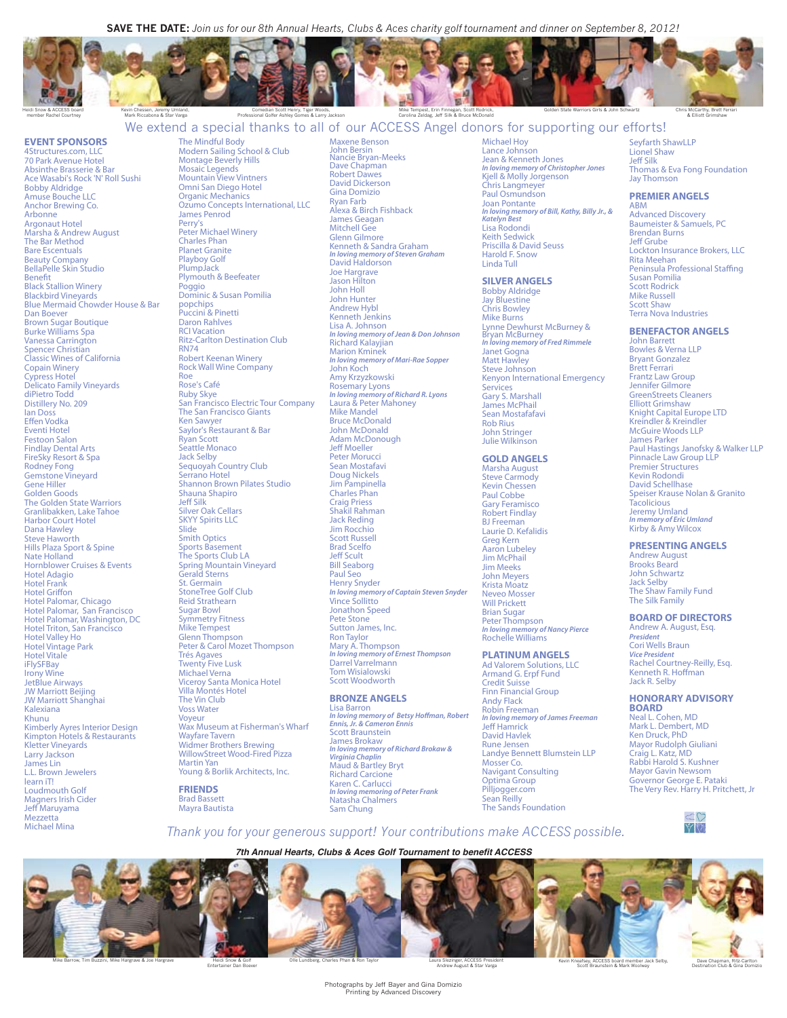**SAVE THE DATE:** *Join us for our 8th Annual Hearts, Clubs & Aces charity golf tournament and dinner on September 8, 2012!*

Maxene Benson





Kevin Chessen, Jeremy Umland, Mark Riccabona & Star Varga

Comedian Scott Henry, Tiger Woods, Professional Golfer Ashley Gomes & Larry Jackson

Mike Tempest, Erin Finnegan, Scott Rodrick, Carolina Zeldag, Jeff Silk & Bruce McDonald

We extend a special thanks to all of our ACCESS Angel donors for supporting our efforts!

### **EVENT SPONSORS**

4Structures.com, LLC 70 Park Avenue Hotel Absinthe Brasserie & Bar Ace Wasabi's Rock 'N' Roll Sushi Bobby Aldridge Amuse Bouche LLC Anchor Brewing Co. **Arbonne** Argonaut Hotel Marsha & Andrew August The Bar Method Bare Escentuals Beauty Company BellaPelle Skin Studio Benet Black Stallion Winery Blackbird Vineyards Blue Mermaid Chowder House & Bar Dan Boever Brown Sugar Boutique Burke Williams Spa Vanessa Carrington Spencer Christian Classic Wines of California Copain Winery Cypress Hotel Delicato Family Vineyards diPietro Todd Distillery No. 209 Ian Doss Effen Vodka Eventi Hotel Festoon Salon Findlay Dental Arts FireSky Resort & Spa Rodney Fong Gemstone Vineyard Gene Hiller Golden Goods The Golden State Warriors Granlibakken, Lake Tahoe Harbor Court Hotel Dana Hawley Steve Haworth Hills Plaza Sport & Spine Nate Holland Hornblower Cruises & Events Hotel Adagio Hotel Frank Hotel Griffon Hotel Palomar, Chicago Hotel Palomar, San Francisco Hotel Palomar, Washington, DC Hotel Triton, San Francisco Hotel Valley Ho Hotel Vintage Park Hotel Vitale iFlySFBay Irony Wine JetBlue Airways JW Marriott Beijing JW Marriott Shanghai Kalexiana Khunu Kimberly Ayres Interior Design Kimpton Hotels & Restaurants Kletter Vineyards Larry Jackson James Lin L.L. Brown Jewelers learn iT! Loudmouth Golf Magners Irish Cider Jeff Maruvama Mezzetta Michael Mina

The Mindful Body Modern Sailing School & Club Montage Beverly Hills Mosaic Legends Mountain View Vintners Omni San Diego Hotel Organic Mechanics Ozumo Concepts International, LLC James Penrod Perry's Peter Michael Winery Charles Phan Planet Granite Playboy Golf PlumpJack Plymouth & Beefeater Poggio Dominic & Susan Pomilia popchips Puccini & Pinetti Daron Rahlves RCI Vacation Ritz-Carlton Destination Club RN74 Robert Keenan Winery Rock Wall Wine Company Roe Rose's Café Ruby Skye San Francisco Electric Tour Company The San Francisco Giants Ken Sawyer Saylor's Restaurant & Bar Ryan Scott Seattle Monaco Jack Selby Sequoyah Country Club Serrano Hotel Shannon Brown Pilates Studio Shauna Shapiro Jeff Silk Silver Oak Cellars **SKYY Spirits LLC Slide** Smith Optics Sports Basement The Sports Club LA Spring Mountain Vineyard Gerald Sterns St. Germain StoneTree Golf Club Reid Strathearn Sugar Bowl Symmetry Fitness Mike Tempest Glenn Thompson Peter & Carol Mozet Thompson Trés Agaves Twenty Five Lusk Michael Verna Viceroy Santa Monica Hotel Villa Montés Hotel

The Vin Club Voss Water Voyeur Wax Museum at Fisherman's Wharf Wayfare Tavern Widmer Brothers Brewing WillowStreet Wood-Fired Pizza Martin Yan Young & Borlik Architects, Inc.

**FRIENDS** Brad Bassett Mayra Bautista

John Bersin Nancie Bryan-Meeks Dave Chapman Robert Dawes David Dickerson Gina Domizio Ryan Farb Alexa & Birch Fishback James Geagan Mitchell Gee Glenn Gilmore Kenneth & Sandra Graham *In loving memory of Steven Graham* David Haldorson Joe Hargrave Jason Hilton John Holl John Hunter Andrew Hybl Kenneth Jenkins Lisa A. Johnson *In loving memory of Jean & Don Johnson* Richard Kalayjian Marion Kminek *In loving memory of Mari-Rae Sopper* John Koch Amy Krzyzkowski Rosemary Lyons *In loving memory of Richard R. Lyons* Laura & Peter Mahoney Mike Mandel Bruce McDonald John McDonald Adam McDonough Jeff Moeller Peter Morucci Sean Mostafavi Doug Nickels Jim Pampinella Charles Phan Craig Priess Shakil Rahman Jack Reding Jim Rocchio Scott Russell Brad Scelfo Jeff Scult<br>Bill Seaborg Paul Seo Henry Snyder *In loving memory of Captain Steven Snyder IIII.comg memor* Jonathon Speed Pete Stone Sutton James, Inc. Ron Taylor Mary A. Thompson *In loving memory of Ernest Thompson* Darrel Varrelmann Tom Wisialowski

### Scott Woodworth **BRONZE ANGELS**

Lisa Barron<br>*In loving memory of Betsy Hoffman, Robert*<br>Ennis, Jr. & Cameron Ennis Scott Braunstein James Brokaw *In loving memory of Richard Brokaw & Virginia Chaplin* Maud & Bartley Bryt Richard Carcione Karen C. Carlucci *In loving memoring of Peter Frank* Natasha Chalmers Sam Chung

#### Michael Hoy Lance Johnson Jean & Kenneth Jones *In loving memory of Christopher Jones* Kjell & Molly Jorgenson Chris Langmeyer Paul Osmundson Joan Pontante *In loving memory of Bill, Kathy, Billy Jr., & Katelyn Best* Lisa Rodondi Keith Sedwick Priscilla & David Seuss Harold F. Snow Linda Tull

Golden State Warriors Girls & John S

#### **SILVER ANGELS**

Bobby Aldridge Jay Bluestine Chris Bowley Mike Burns Lynne Dewhurst McBurney & Bryan McBurney *In loving memory of Fred Rimmele* Janet Gogna Matt Hawley Steve Johnson Kenyon International Emergency Services Gary S. Marshall James McPhail Sean Mostafafavi Rob Rius John Stringer Julie Wilkinson

### **GOLD ANGELS**

Marsha August Steve Carmody Kevin Chessen Paul Cobbe Gary Feramisco Robert Findlay BJ Freeman Laurie D. Kefalidis Greg Kern Aaron Lubeley Jim McPhail Jim Meeks John Meyers Krista Moatz Neveo Mosser Will Prickett Brian Sugar Peter Thompson *In loving memory of Nancy Pierce* Rochelle Williams

## **PLATINUM ANGELS**

Ad Valorem Solutions, LLC Armand G. Erpf Fund Credit Suisse Finn Financial Group Andy Flack Robin Freeman *In loving memory of James Freeman<br>Jeff Hamrick* David Havlek Rune Jensen Landye Bennett Blumstein LLP Mosser Co. Navigant Consulting Optima Group Pilljogger.com Sean Reilly The Sands Foundation

Seyfarth ShawLLP Lionel Shaw<br>Jeff Silk Thomas & Eva Fong Foundation Jay Thomson

Chris McCarthy, Brett Ferrari & Elliott Grimshaw

#### **PREMIER ANGELS**

ABM Advanced Discovery Baumeister & Samuels, PC Brendan Burns<br>Jeff Grube Lockton Insurance Brokers, LLC Rita Meehan<br>Peninsula Professional Staffing Susan Pomilia Scott Rodrick Mike Russell Scott Shaw Terra Nova Industries

#### **BENEFACTOR ANGELS**

John Barrett Bowles & Verna LLP Bryant Gonzalez Brett Ferrari Frantz Law Group Jennifer Gilmore GreenStreets Cleaners Elliott Grimshaw Knight Capital Europe LTD Kreindler & Kreindler McGuire Woods LLP James Parker Paul Hastings Janofsky & Walker LLP Pinnacle Law Group LLP Premier Structures Kevin Rodondi David Schellhase Speiser Krause Nolan & Granito **Tacolicious** Jeremy Umland *In memory of Eric Umland* Kirby & Amy Wilcox

#### **PRESENTING ANGELS**

Andrew August Brooks Beard John Schwartz Jack Selby The Shaw Family Fund The Silk Family

#### **BOARD OF DIRECTORS**

Andrew A. August, Esq. *President* Cori Wells Braun *Vice President* Rachel Courtney-Reilly, Esq. Kenneth R. Hoffman Jack R. Selby

### **HONORARY ADVISORY**

**BOARD** Neal L. Cohen, MD Mark L. Dembert, MD Ken Druck, PhD Mayor Rudolph Giuliani Craig L. Katz, MD Rabbi Harold S. Kushner Mayor Gavin Newsom Governor George E. Pataki The Very Rev. Harry H. Pritchett, Jr

> $\mathbb{C} \mathbb{C}$ YN

*Thank you for your generous support! Your contributions make ACCESS possible.*

*7th Annual Hearts, Clubs & Aces Golf Tournament to benefit ACCESS*



Entertainer Dan Boever

Laura Slezinger, ACCESS President Andrew August & Star Varga

Scott Braunstein & Mark Woolway

 Dave Chapman, Ritz-Carlton Destination Club & Gina Domizio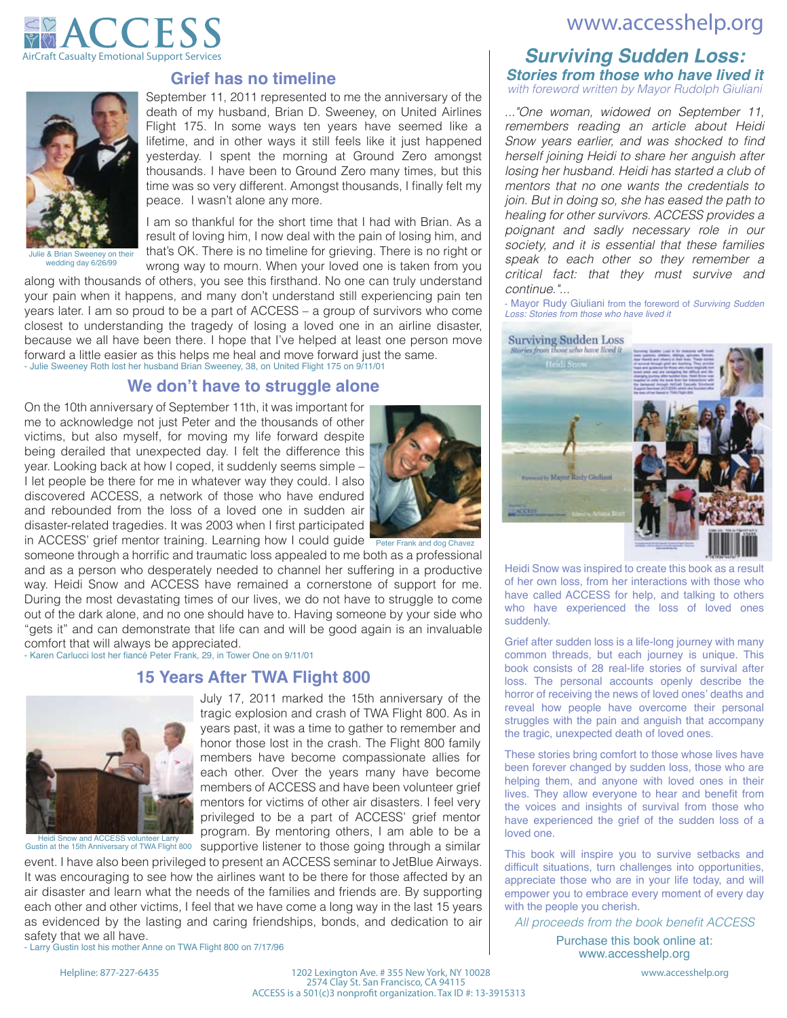## www.accesshelp.org





Julie & Brian Sweeney on their wedding day 6/26/99

## **Grief has no timeline**

September 11, 2011 represented to me the anniversary of the death of my husband, Brian D. Sweeney, on United Airlines Flight 175. In some ways ten years have seemed like a lifetime, and in other ways it still feels like it just happened yesterday. I spent the morning at Ground Zero amongst thousands. I have been to Ground Zero many times, but this time was so very different. Amongst thousands, I finally felt my peace. I wasn't alone any more.

result of loving him, I now deal with the pain of losing him, and I am so thankful for the short time that I had with Brian. As a that's OK. There is no timeline for grieving. There is no right or wrong way to mourn. When your loved one is taken from you

along with thousands of others, you see this firsthand. No one can truly understand your pain when it happens, and many don't understand still experiencing pain ten years later. I am so proud to be a part of ACCESS – a group of survivors who come closest to understanding the tragedy of losing a loved one in an airline disaster, because we all have been there. I hope that I've helped at least one person move forward a little easier as this helps me heal and move forward just the same. - Julie Sweeney Roth lost her husband Brian Sweeney, 38, on United Flight 175 on 9/11/01

## **We don't have to struggle alone**

On the 10th anniversary of September 11th, it was important for me to acknowledge not just Peter and the thousands of other victims, but also myself, for moving my life forward despite being derailed that unexpected day. I felt the difference this year. Looking back at how I coped, it suddenly seems simple – I let people be there for me in whatever way they could. I also discovered ACCESS, a network of those who have endured and rebounded from the loss of a loved one in sudden air disaster-related tragedies. It was 2003 when I first participated in ACCESS' grief mentor training. Learning how I could guide



someone through a horrific and traumatic loss appealed to me both as a professional and as a person who desperately needed to channel her suffering in a productive way. Heidi Snow and ACCESS have remained a cornerstone of support for me. During the most devastating times of our lives, we do not have to struggle to come out of the dark alone, and no one should have to. Having someone by your side who "gets it" and can demonstrate that life can and will be good again is an invaluable comfort that will always be appreciated.

- Karen Carlucci lost her fiancé Peter Frank, 29, in Tower One on 9/11/01

## **15 Years After TWA Flight 800**



Heidi Snow and ACCESS volunteer Larry<br>Gustin at the 15th Anniversary of TWA Flight 800 supportive listener to those going through a similar July 17, 2011 marked the 15th anniversary of the tragic explosion and crash of TWA Flight 800. As in years past, it was a time to gather to remember and honor those lost in the crash. The Flight 800 family members have become compassionate allies for each other. Over the years many have become members of ACCESS and have been volunteer grief mentors for victims of other air disasters. I feel very privileged to be a part of ACCESS' grief mentor program. By mentoring others, I am able to be a

event. I have also been privileged to present an ACCESS seminar to JetBlue Airways.

It was encouraging to see how the airlines want to be there for those affected by an air disaster and learn what the needs of the families and friends are. By supporting each other and other victims, I feel that we have come a long way in the last 15 years as evidenced by the lasting and caring friendships, bonds, and dedication to air safety that we all have.

- Larry Gustin lost his mother Anne on TWA Flight 800 on 7/17/96

Helpline: 877-227-6435 1202 Lexington Ave. # 355 New York, NY 10028 www.accesshelp.org 2574 Clay St. San Francisco, CA 94115 ACCESS is a 501(c)3 nonprofit organization. Tax ID #: 13-3915313

## *Surviving Sudden Loss: Stories from those who have lived it with foreword written by Mayor Rudolph Giuliani*

*..."One woman, widowed on September 11, remembers reading an article about Heidi*  Snow years earlier, and was shocked to find *herself joining Heidi to share her anguish after losing her husband. Heidi has started a club of mentors that no one wants the credentials to join. But in doing so, she has eased the path to healing for other survivors. ACCESS provides a poignant and sadly necessary role in our society, and it is essential that these families speak to each other so they remember a* 

*continue."...* - Mayor Rudy Giuliani from the foreword of *Surviving Sudden Loss: Stories from those who have lived it* 

*critical fact: that they must survive and* 

**Surviving Sudden Loss** 



Heidi Snow was inspired to create this book as a result of her own loss, from her interactions with those who have called ACCESS for help, and talking to others who have experienced the loss of loved ones suddenly.

Grief after sudden loss is a life-long journey with many common threads, but each journey is unique. This book consists of 28 real-life stories of survival after loss. The personal accounts openly describe the horror of receiving the news of loved ones' deaths and reveal how people have overcome their personal struggles with the pain and anguish that accompany the tragic, unexpected death of loved ones.

These stories bring comfort to those whose lives have been forever changed by sudden loss, those who are helping them, and anyone with loved ones in their lives. They allow everyone to hear and benefit from the voices and insights of survival from those who have experienced the grief of the sudden loss of a loved one.

This book will inspire you to survive setbacks and difficult situations, turn challenges into opportunities, appreciate those who are in your life today, and will empower you to embrace every moment of every day with the people you cherish.

All proceeds from the book benefit ACCESS

Purchase this book online at: www.accesshelp.org